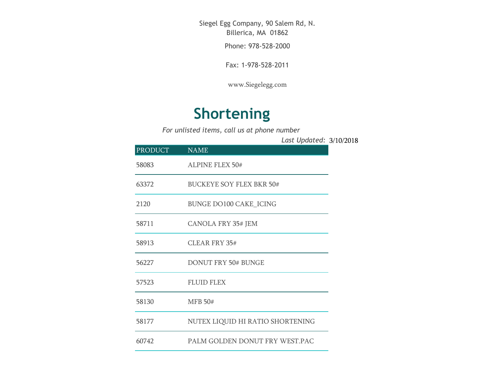Siegel Egg Company, 90 Salem Rd, N. Billerica, MA 01862

Phone: 978-528-2000

Fax: 1-978-528-2011

[www.Siegelegg.com](http://www.siegelegg.com/)

## **Shortening**

*For unlisted items, call us at phone number*

3/10/2018 *Last Updated:*

| <b>PRODUCT</b> | <b>NAME</b>                      |
|----------------|----------------------------------|
| 58083          | <b>ALPINE FLEX 50#</b>           |
| 63372          | <b>BUCKEYE SOY FLEX BKR 50#</b>  |
| 2120           | <b>BUNGE DO100 CAKE_ICING</b>    |
| 58711          | <b>CANOLA FRY 35# JEM</b>        |
| 58913          | CLEAR FRY 35#                    |
| 56227          | <b>DONUT FRY 50# BUNGE</b>       |
| 57523          | <b>FLUID FLEX</b>                |
| 58130          | <b>MFB 50#</b>                   |
| 58177          | NUTEX LIQUID HI RATIO SHORTENING |
| 60742          | PALM GOLDEN DONUT FRY WEST.PAC   |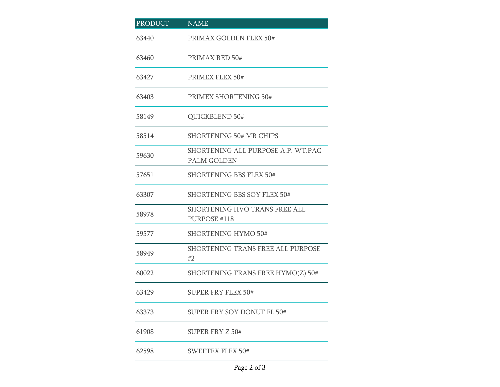| <b>PRODUCT</b> | <b>NAME</b>                                              |
|----------------|----------------------------------------------------------|
| 63440          | PRIMAX GOLDEN FLEX 50#                                   |
| 63460          | PRIMAX RED 50#                                           |
| 63427          | PRIMEX FLEX 50#                                          |
| 63403          | PRIMEX SHORTENING 50#                                    |
| 58149          | QUICKBLEND 50#                                           |
| 58514          | <b>SHORTENING 50# MR CHIPS</b>                           |
| 59630          | SHORTENING ALL PURPOSE A.P. WT.PAC<br><b>PALM GOLDEN</b> |
| 57651          | <b>SHORTENING BBS FLEX 50#</b>                           |
| 63307          | <b>SHORTENING BBS SOY FLEX 50#</b>                       |
| 58978          | SHORTENING HVO TRANS FREE ALL<br>PURPOSE #118            |
| 59577          | <b>SHORTENING HYMO 50#</b>                               |
| 58949          | SHORTENING TRANS FREE ALL PURPOSE<br>#2                  |
| 60022          | SHORTENING TRANS FREE HYMO(Z) 50#                        |
| 63429          | <b>SUPER FRY FLEX 50#</b>                                |
| 63373          | SUPER FRY SOY DONUT FL 50#                               |
| 61908          | <b>SUPER FRY Z 50#</b>                                   |
| 62598          | <b>SWEETEX FLEX 50#</b>                                  |